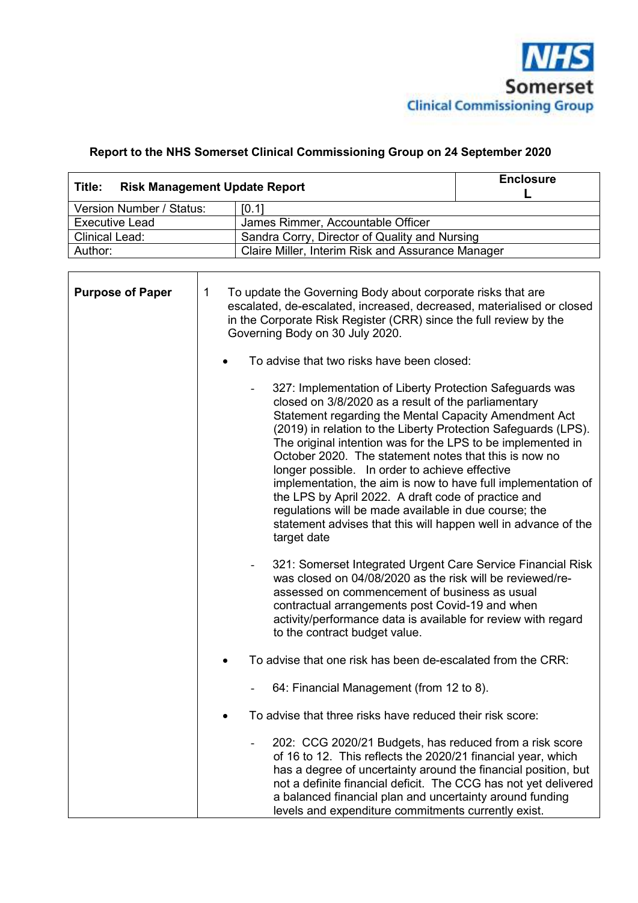

## **Report to the NHS Somerset Clinical Commissioning Group on 24 September 2020**

| Title:                                                     | <b>Risk Management Update Report</b>              |  |  |  |
|------------------------------------------------------------|---------------------------------------------------|--|--|--|
| Version Number / Status:                                   | [0.1]                                             |  |  |  |
| James Rimmer, Accountable Officer<br><b>Executive Lead</b> |                                                   |  |  |  |
| <b>Clinical Lead:</b>                                      | Sandra Corry, Director of Quality and Nursing     |  |  |  |
| Author:                                                    | Claire Miller, Interim Risk and Assurance Manager |  |  |  |

| <b>Purpose of Paper</b> | $\mathbf 1$<br>To update the Governing Body about corporate risks that are<br>escalated, de-escalated, increased, decreased, materialised or closed<br>in the Corporate Risk Register (CRR) since the full review by the<br>Governing Body on 30 July 2020.                                                                                                                                                                                                                                                                                                                                                                                                                            |
|-------------------------|----------------------------------------------------------------------------------------------------------------------------------------------------------------------------------------------------------------------------------------------------------------------------------------------------------------------------------------------------------------------------------------------------------------------------------------------------------------------------------------------------------------------------------------------------------------------------------------------------------------------------------------------------------------------------------------|
|                         | To advise that two risks have been closed:                                                                                                                                                                                                                                                                                                                                                                                                                                                                                                                                                                                                                                             |
|                         | 327: Implementation of Liberty Protection Safeguards was<br>closed on 3/8/2020 as a result of the parliamentary<br>Statement regarding the Mental Capacity Amendment Act<br>(2019) in relation to the Liberty Protection Safeguards (LPS).<br>The original intention was for the LPS to be implemented in<br>October 2020. The statement notes that this is now no<br>longer possible. In order to achieve effective<br>implementation, the aim is now to have full implementation of<br>the LPS by April 2022. A draft code of practice and<br>regulations will be made available in due course; the<br>statement advises that this will happen well in advance of the<br>target date |
|                         | 321: Somerset Integrated Urgent Care Service Financial Risk<br>$\overline{\phantom{a}}$<br>was closed on 04/08/2020 as the risk will be reviewed/re-<br>assessed on commencement of business as usual<br>contractual arrangements post Covid-19 and when<br>activity/performance data is available for review with regard<br>to the contract budget value.                                                                                                                                                                                                                                                                                                                             |
|                         | To advise that one risk has been de-escalated from the CRR:                                                                                                                                                                                                                                                                                                                                                                                                                                                                                                                                                                                                                            |
|                         | 64: Financial Management (from 12 to 8).                                                                                                                                                                                                                                                                                                                                                                                                                                                                                                                                                                                                                                               |
|                         | To advise that three risks have reduced their risk score:<br>$\bullet$                                                                                                                                                                                                                                                                                                                                                                                                                                                                                                                                                                                                                 |
|                         | 202: CCG 2020/21 Budgets, has reduced from a risk score<br>of 16 to 12. This reflects the 2020/21 financial year, which<br>has a degree of uncertainty around the financial position, but<br>not a definite financial deficit. The CCG has not yet delivered<br>a balanced financial plan and uncertainty around funding<br>levels and expenditure commitments currently exist.                                                                                                                                                                                                                                                                                                        |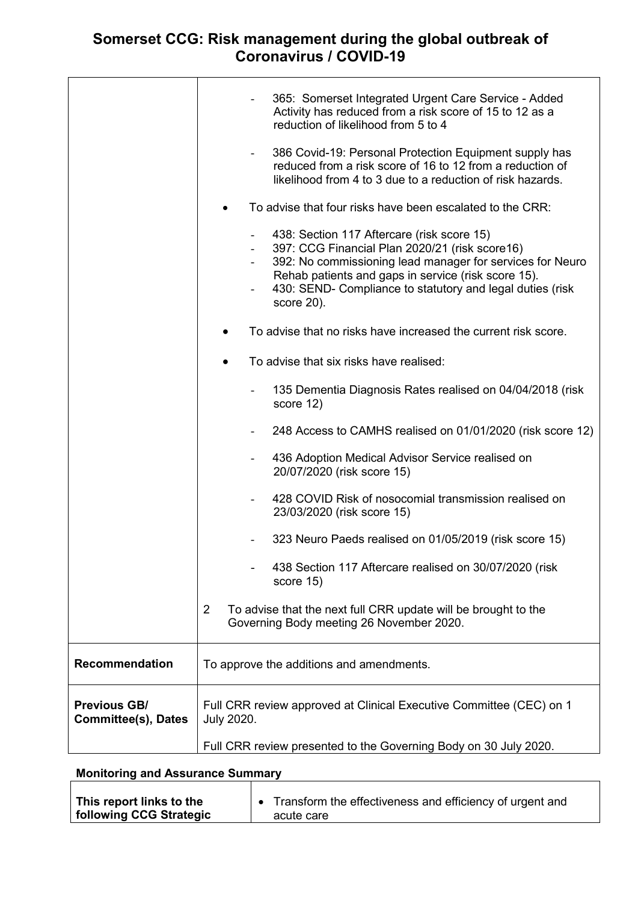## **Somerset CCG: Risk management during the global outbreak of Coronavirus / COVID-19**

|                                                   | 365: Somerset Integrated Urgent Care Service - Added<br>Activity has reduced from a risk score of 15 to 12 as a<br>reduction of likelihood from 5 to 4<br>386 Covid-19: Personal Protection Equipment supply has<br>reduced from a risk score of 16 to 12 from a reduction of<br>likelihood from 4 to 3 due to a reduction of risk hazards.<br>To advise that four risks have been escalated to the CRR:<br>438: Section 117 Aftercare (risk score 15)<br>397: CCG Financial Plan 2020/21 (risk score16)<br>392: No commissioning lead manager for services for Neuro<br>Rehab patients and gaps in service (risk score 15).<br>430: SEND- Compliance to statutory and legal duties (risk<br>score 20).<br>To advise that no risks have increased the current risk score.<br>To advise that six risks have realised:<br>135 Dementia Diagnosis Rates realised on 04/04/2018 (risk<br>score 12)<br>248 Access to CAMHS realised on 01/01/2020 (risk score 12)<br>436 Adoption Medical Advisor Service realised on<br>20/07/2020 (risk score 15)<br>428 COVID Risk of nosocomial transmission realised on<br>23/03/2020 (risk score 15)<br>323 Neuro Paeds realised on 01/05/2019 (risk score 15)<br>438 Section 117 Aftercare realised on 30/07/2020 (risk |  |  |  |  |
|---------------------------------------------------|-----------------------------------------------------------------------------------------------------------------------------------------------------------------------------------------------------------------------------------------------------------------------------------------------------------------------------------------------------------------------------------------------------------------------------------------------------------------------------------------------------------------------------------------------------------------------------------------------------------------------------------------------------------------------------------------------------------------------------------------------------------------------------------------------------------------------------------------------------------------------------------------------------------------------------------------------------------------------------------------------------------------------------------------------------------------------------------------------------------------------------------------------------------------------------------------------------------------------------------------------------------|--|--|--|--|
|                                                   | score 15)<br>2<br>To advise that the next full CRR update will be brought to the<br>Governing Body meeting 26 November 2020.                                                                                                                                                                                                                                                                                                                                                                                                                                                                                                                                                                                                                                                                                                                                                                                                                                                                                                                                                                                                                                                                                                                              |  |  |  |  |
|                                                   |                                                                                                                                                                                                                                                                                                                                                                                                                                                                                                                                                                                                                                                                                                                                                                                                                                                                                                                                                                                                                                                                                                                                                                                                                                                           |  |  |  |  |
| <b>Recommendation</b>                             | To approve the additions and amendments.                                                                                                                                                                                                                                                                                                                                                                                                                                                                                                                                                                                                                                                                                                                                                                                                                                                                                                                                                                                                                                                                                                                                                                                                                  |  |  |  |  |
| <b>Previous GB/</b><br><b>Committee(s), Dates</b> | Full CRR review approved at Clinical Executive Committee (CEC) on 1<br><b>July 2020.</b>                                                                                                                                                                                                                                                                                                                                                                                                                                                                                                                                                                                                                                                                                                                                                                                                                                                                                                                                                                                                                                                                                                                                                                  |  |  |  |  |
|                                                   | Full CRR review presented to the Governing Body on 30 July 2020.                                                                                                                                                                                                                                                                                                                                                                                                                                                                                                                                                                                                                                                                                                                                                                                                                                                                                                                                                                                                                                                                                                                                                                                          |  |  |  |  |

## **Monitoring and Assurance Summary**

| This report links to the | Transform the effectiveness and efficiency of urgent and |
|--------------------------|----------------------------------------------------------|
| following CCG Strategic  | acute care                                               |

┑